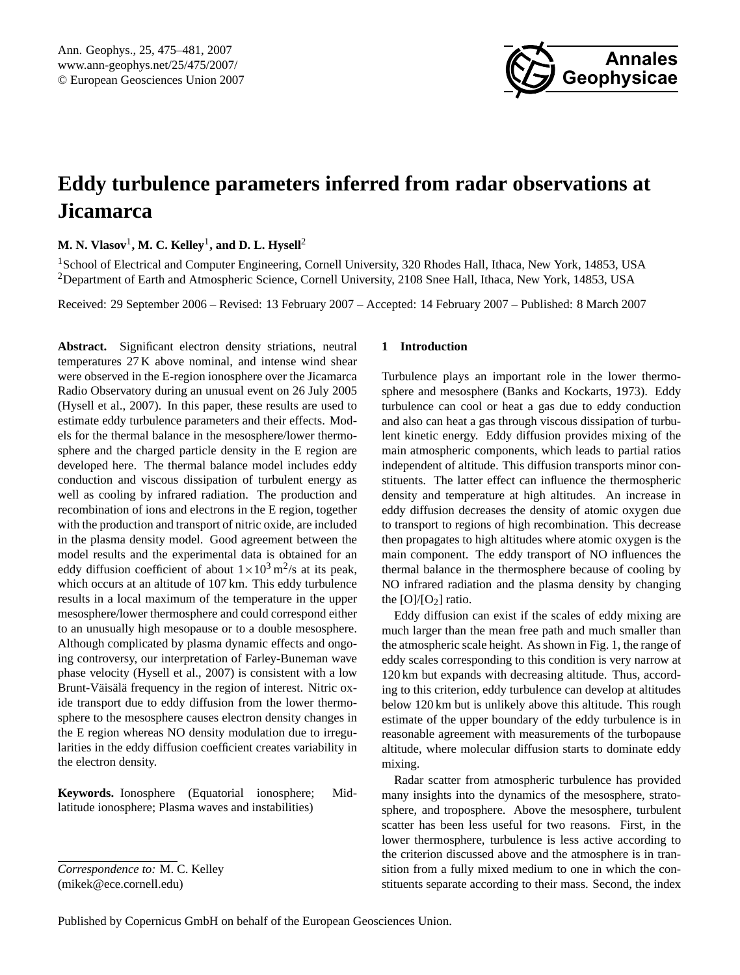

# <span id="page-0-0"></span>**Eddy turbulence parameters inferred from radar observations at Jicamarca**

**M. N. Vlasov**<sup>1</sup> **, M. C. Kelley**<sup>1</sup> **, and D. L. Hysell**<sup>2</sup>

<sup>1</sup>School of Electrical and Computer Engineering, Cornell University, 320 Rhodes Hall, Ithaca, New York, 14853, USA <sup>2</sup>Department of Earth and Atmospheric Science, Cornell University, 2108 Snee Hall, Ithaca, New York, 14853, USA

Received: 29 September 2006 – Revised: 13 February 2007 – Accepted: 14 February 2007 – Published: 8 March 2007

Abstract. Significant electron density striations, neutral temperatures 27 K above nominal, and intense wind shear were observed in the E-region ionosphere over the Jicamarca Radio Observatory during an unusual event on 26 July 2005 (Hysell et al., 2007). In this paper, these results are used to estimate eddy turbulence parameters and their effects. Models for the thermal balance in the mesosphere/lower thermosphere and the charged particle density in the E region are developed here. The thermal balance model includes eddy conduction and viscous dissipation of turbulent energy as well as cooling by infrared radiation. The production and recombination of ions and electrons in the E region, together with the production and transport of nitric oxide, are included in the plasma density model. Good agreement between the model results and the experimental data is obtained for an eddy diffusion coefficient of about  $1 \times 10^3$  m<sup>2</sup>/s at its peak, which occurs at an altitude of 107 km. This eddy turbulence results in a local maximum of the temperature in the upper mesosphere/lower thermosphere and could correspond either to an unusually high mesopause or to a double mesosphere. Although complicated by plasma dynamic effects and ongoing controversy, our interpretation of Farley-Buneman wave phase velocity (Hysell et al., 2007) is consistent with a low Brunt-Väisälä frequency in the region of interest. Nitric oxide transport due to eddy diffusion from the lower thermosphere to the mesosphere causes electron density changes in the E region whereas NO density modulation due to irregularities in the eddy diffusion coefficient creates variability in the electron density.

**Keywords.** Ionosphere (Equatorial ionosphere; Midlatitude ionosphere; Plasma waves and instabilities)

## *Correspondence to:* M. C. Kelley (mikek@ece.cornell.edu)

#### **1 Introduction**

Turbulence plays an important role in the lower thermosphere and mesosphere (Banks and Kockarts, 1973). Eddy turbulence can cool or heat a gas due to eddy conduction and also can heat a gas through viscous dissipation of turbulent kinetic energy. Eddy diffusion provides mixing of the main atmospheric components, which leads to partial ratios independent of altitude. This diffusion transports minor constituents. The latter effect can influence the thermospheric density and temperature at high altitudes. An increase in eddy diffusion decreases the density of atomic oxygen due to transport to regions of high recombination. This decrease then propagates to high altitudes where atomic oxygen is the main component. The eddy transport of NO influences the thermal balance in the thermosphere because of cooling by NO infrared radiation and the plasma density by changing the  $[O]/[O_2]$  ratio.

Eddy diffusion can exist if the scales of eddy mixing are much larger than the mean free path and much smaller than the atmospheric scale height. As shown in Fig. 1, the range of eddy scales corresponding to this condition is very narrow at 120 km but expands with decreasing altitude. Thus, according to this criterion, eddy turbulence can develop at altitudes below 120 km but is unlikely above this altitude. This rough estimate of the upper boundary of the eddy turbulence is in reasonable agreement with measurements of the turbopause altitude, where molecular diffusion starts to dominate eddy mixing.

Radar scatter from atmospheric turbulence has provided many insights into the dynamics of the mesosphere, stratosphere, and troposphere. Above the mesosphere, turbulent scatter has been less useful for two reasons. First, in the lower thermosphere, turbulence is less active according to the criterion discussed above and the atmosphere is in transition from a fully mixed medium to one in which the constituents separate according to their mass. Second, the index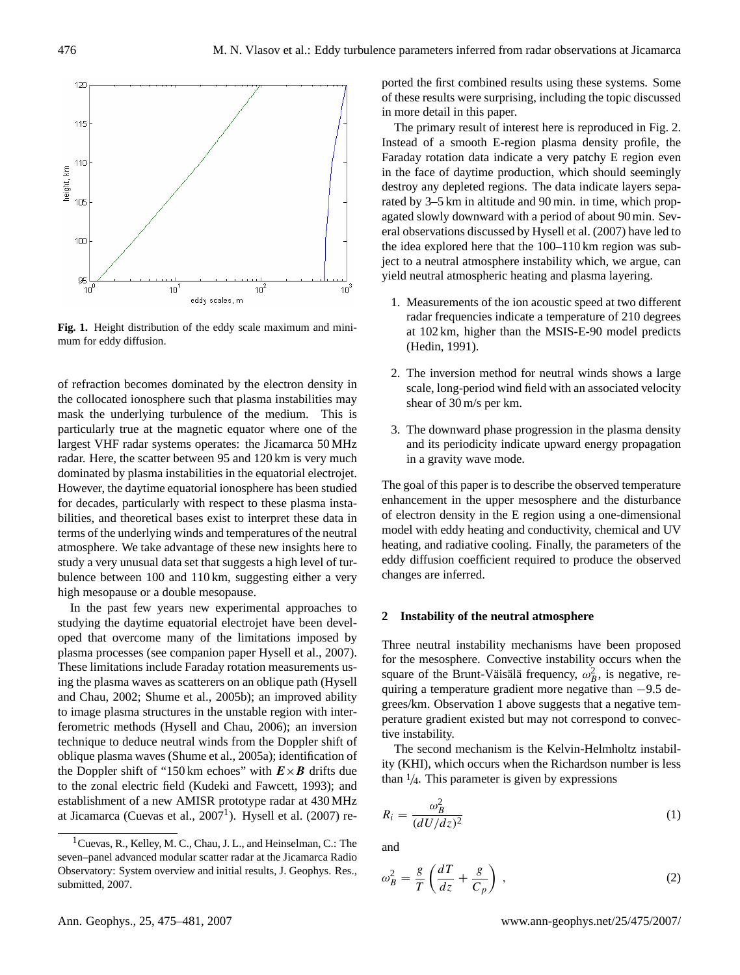

**Fig. 1.** Height distribution of the eddy scale maximum and minimum for eddy diffusion.

of refraction becomes dominated by the electron density in the collocated ionosphere such that plasma instabilities may mask the underlying turbulence of the medium. This is particularly true at the magnetic equator where one of the largest VHF radar systems operates: the Jicamarca 50 MHz radar. Here, the scatter between 95 and 120 km is very much dominated by plasma instabilities in the equatorial electrojet. However, the daytime equatorial ionosphere has been studied for decades, particularly with respect to these plasma instabilities, and theoretical bases exist to interpret these data in terms of the underlying winds and temperatures of the neutral atmosphere. We take advantage of these new insights here to study a very unusual data set that suggests a high level of turbulence between 100 and 110 km, suggesting either a very high mesopause or a double mesopause.

In the past few years new experimental approaches to studying the daytime equatorial electrojet have been developed that overcome many of the limitations imposed by plasma processes (see companion paper Hysell et al., 2007). These limitations include Faraday rotation measurements using the plasma waves as scatterers on an oblique path (Hysell and Chau, 2002; Shume et al., 2005b); an improved ability to image plasma structures in the unstable region with interferometric methods (Hysell and Chau, 2006); an inversion technique to deduce neutral winds from the Doppler shift of oblique plasma waves (Shume et al., 2005a); identification of the Doppler shift of "150 km echoes" with  $E \times B$  drifts due to the zonal electric field (Kudeki and Fawcett, 1993); and establishment of a new AMISR prototype radar at 430 MHz at Jicamarca (Cuevas et al.,  $2007<sup>1</sup>$  $2007<sup>1</sup>$  $2007<sup>1</sup>$ ). Hysell et al. (2007) reported the first combined results using these systems. Some of these results were surprising, including the topic discussed in more detail in this paper.

The primary result of interest here is reproduced in Fig. 2. Instead of a smooth E-region plasma density profile, the Faraday rotation data indicate a very patchy E region even in the face of daytime production, which should seemingly destroy any depleted regions. The data indicate layers separated by 3–5 km in altitude and 90 min. in time, which propagated slowly downward with a period of about 90 min. Several observations discussed by Hysell et al. (2007) have led to the idea explored here that the 100–110 km region was subject to a neutral atmosphere instability which, we argue, can yield neutral atmospheric heating and plasma layering.

- 1. Measurements of the ion acoustic speed at two different radar frequencies indicate a temperature of 210 degrees at 102 km, higher than the MSIS-E-90 model predicts (Hedin, 1991).
- 2. The inversion method for neutral winds shows a large scale, long-period wind field with an associated velocity shear of 30 m/s per km.
- 3. The downward phase progression in the plasma density and its periodicity indicate upward energy propagation in a gravity wave mode.

The goal of this paper is to describe the observed temperature enhancement in the upper mesosphere and the disturbance of electron density in the E region using a one-dimensional model with eddy heating and conductivity, chemical and UV heating, and radiative cooling. Finally, the parameters of the eddy diffusion coefficient required to produce the observed changes are inferred.

# **2 Instability of the neutral atmosphere**

Three neutral instability mechanisms have been proposed for the mesosphere. Convective instability occurs when the square of the Brunt-Väisälä frequency,  $\omega_B^2$ , is negative, requiring a temperature gradient more negative than −9.5 degrees/km. Observation 1 above suggests that a negative temperature gradient existed but may not correspond to convective instability.

The second mechanism is the Kelvin-Helmholtz instability (KHI), which occurs when the Richardson number is less than  $\frac{1}{4}$ . This parameter is given by expressions

$$
R_i = \frac{\omega_B^2}{(dU/dz)^2} \tag{1}
$$

and

$$
\omega_B^2 = \frac{g}{T} \left( \frac{dT}{dz} + \frac{g}{C_p} \right) ,\qquad (2)
$$

<span id="page-1-0"></span><sup>&</sup>lt;sup>1</sup> Cuevas, R., Kelley, M. C., Chau, J. L., and Heinselman, C.: The seven–panel advanced modular scatter radar at the Jicamarca Radio Observatory: System overview and initial results, J. Geophys. Res., submitted, 2007.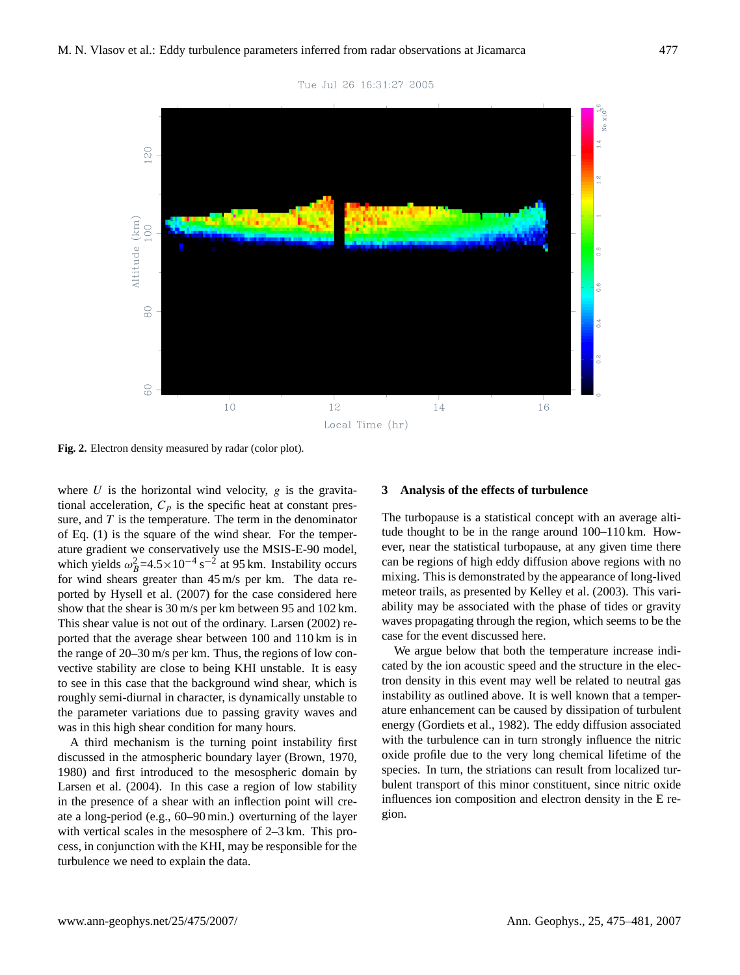

Tue Jul 26 16:31:27 2005

**Fig. 2.** Electron density measured by radar (color plot).

where  $U$  is the horizontal wind velocity,  $g$  is the gravitational acceleration,  $C_p$  is the specific heat at constant pressure, and  $T$  is the temperature. The term in the denominator of Eq. (1) is the square of the wind shear. For the temperature gradient we conservatively use the MSIS-E-90 model, which yields  $\omega_B^2 = 4.5 \times 10^{-4} \text{ s}^{-2}$  at 95 km. Instability occurs for wind shears greater than 45 m/s per km. The data reported by Hysell et al. (2007) for the case considered here show that the shear is 30 m/s per km between 95 and 102 km. This shear value is not out of the ordinary. Larsen (2002) reported that the average shear between 100 and 110 km is in the range of 20–30 m/s per km. Thus, the regions of low convective stability are close to being KHI unstable. It is easy to see in this case that the background wind shear, which is roughly semi-diurnal in character, is dynamically unstable to the parameter variations due to passing gravity waves and was in this high shear condition for many hours.

A third mechanism is the turning point instability first discussed in the atmospheric boundary layer (Brown, 1970, 1980) and first introduced to the mesospheric domain by Larsen et al. (2004). In this case a region of low stability in the presence of a shear with an inflection point will create a long-period (e.g., 60–90 min.) overturning of the layer with vertical scales in the mesosphere of 2–3 km. This process, in conjunction with the KHI, may be responsible for the turbulence we need to explain the data.

#### **3 Analysis of the effects of turbulence**

The turbopause is a statistical concept with an average altitude thought to be in the range around 100–110 km. However, near the statistical turbopause, at any given time there can be regions of high eddy diffusion above regions with no mixing. This is demonstrated by the appearance of long-lived meteor trails, as presented by Kelley et al. (2003). This variability may be associated with the phase of tides or gravity waves propagating through the region, which seems to be the case for the event discussed here.

We argue below that both the temperature increase indicated by the ion acoustic speed and the structure in the electron density in this event may well be related to neutral gas instability as outlined above. It is well known that a temperature enhancement can be caused by dissipation of turbulent energy (Gordiets et al., 1982). The eddy diffusion associated with the turbulence can in turn strongly influence the nitric oxide profile due to the very long chemical lifetime of the species. In turn, the striations can result from localized turbulent transport of this minor constituent, since nitric oxide influences ion composition and electron density in the E region.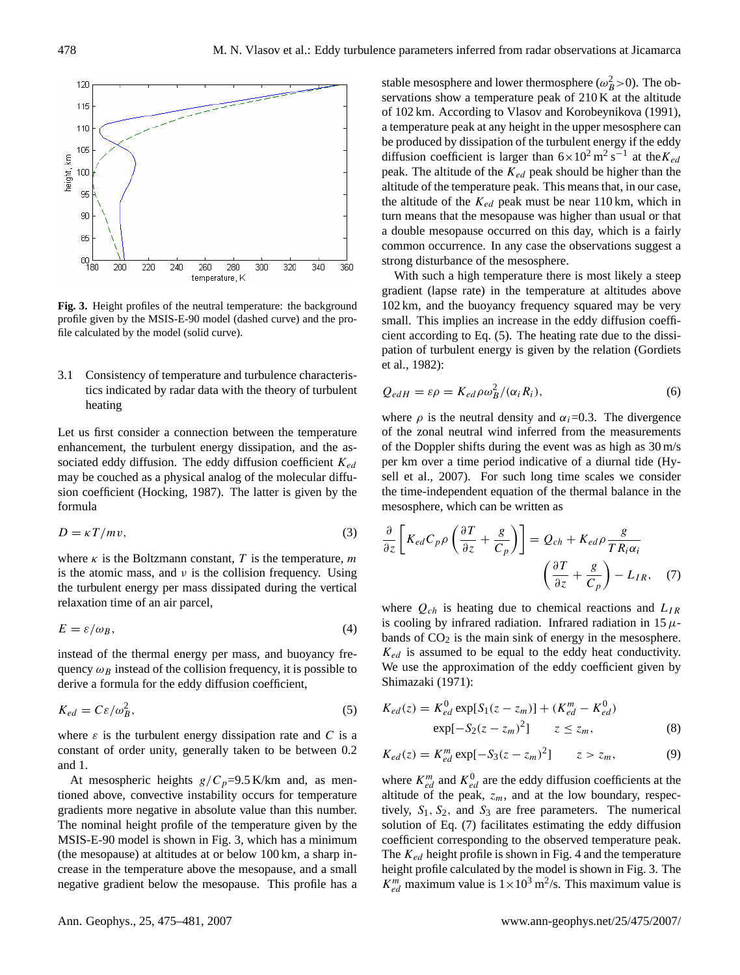

**Fig. 3.** Height profiles of the neutral temperature: the background profile given by the MSIS-E-90 model (dashed curve) and the profile calculated by the model (solid curve).

3.1 Consistency of temperature and turbulence characteristics indicated by radar data with the theory of turbulent heating

Let us first consider a connection between the temperature enhancement, the turbulent energy dissipation, and the associated eddy diffusion. The eddy diffusion coefficient  $K_{ed}$ may be couched as a physical analog of the molecular diffusion coefficient (Hocking, 1987). The latter is given by the formula

$$
D = \kappa T / m v,\tag{3}
$$

where  $\kappa$  is the Boltzmann constant, T is the temperature, m is the atomic mass, and  $\nu$  is the collision frequency. Using the turbulent energy per mass dissipated during the vertical relaxation time of an air parcel,

$$
E = \varepsilon / \omega_B,\tag{4}
$$

instead of the thermal energy per mass, and buoyancy frequency  $\omega_B$  instead of the collision frequency, it is possible to derive a formula for the eddy diffusion coefficient,

$$
K_{ed} = C\varepsilon/\omega_B^2,\tag{5}
$$

where  $\varepsilon$  is the turbulent energy dissipation rate and C is a constant of order unity, generally taken to be between 0.2 and 1.

At mesospheric heights  $g/C_p=9.5$  K/km and, as mentioned above, convective instability occurs for temperature gradients more negative in absolute value than this number. The nominal height profile of the temperature given by the MSIS-E-90 model is shown in Fig. 3, which has a minimum (the mesopause) at altitudes at or below 100 km, a sharp increase in the temperature above the mesopause, and a small negative gradient below the mesopause. This profile has a

stable mesosphere and lower thermosphere ( $\omega_B^2$ >0). The observations show a temperature peak of 210 K at the altitude of 102 km. According to Vlasov and Korobeynikova (1991), a temperature peak at any height in the upper mesosphere can be produced by dissipation of the turbulent energy if the eddy diffusion coefficient is larger than  $6 \times 10^2$  m<sup>2</sup> s<sup>-1</sup> at the  $K_{ea}$ peak. The altitude of the  $K_{ed}$  peak should be higher than the altitude of the temperature peak. This means that, in our case, the altitude of the  $K_{ed}$  peak must be near 110 km, which in turn means that the mesopause was higher than usual or that a double mesopause occurred on this day, which is a fairly common occurrence. In any case the observations suggest a strong disturbance of the mesosphere.

Figure 3. Height profiles of the neutral temperature: the background profile given by the  $\frac{1}{\alpha}$ With such a high temperature there is most likely a steep gradient (lapse rate) in the temperature at altitudes above 102 km, and the buoyancy frequency squared may be very small. This implies an increase in the eddy diffusion coefficient according to Eq. (5). The heating rate due to the dissipation of turbulent energy is given by the relation (Gordiets et al., 1982):

$$
Q_{edH} = \varepsilon \rho = K_{ed} \rho \omega_B^2 / (\alpha_i R_i), \qquad (6)
$$

where  $\rho$  is the neutral density and  $\alpha_i=0.3$ . The divergence of the zonal neutral wind inferred from the measurements of the Doppler shifts during the event was as high as 30 m/s per km over a time period indicative of a diurnal tide (Hysell et al., 2007). For such long time scales we consider the time-independent equation of the thermal balance in the mesosphere, which can be written as

$$
\frac{\partial}{\partial z} \left[ K_{ed} C_p \rho \left( \frac{\partial T}{\partial z} + \frac{g}{C_p} \right) \right] = Q_{ch} + K_{ed} \rho \frac{g}{T R_i \alpha_i} \n\left( \frac{\partial T}{\partial z} + \frac{g}{C_p} \right) - L_{IR}, \quad (7)
$$

bands of  $CO<sub>2</sub>$  is the main sink of energy in the mesosphere. where  $Q_{ch}$  is heating due to chemical reactions and  $L_{IR}$ is cooling by infrared radiation. Infrared radiation in 15  $\mu$ - $K_{ed}$  is assumed to be equal to the eddy heat conductivity. We use the approximation of the eddy coefficient given by Shimazaki (1971):

$$
K_{ed}(z) = K_{ed}^{0} \exp[S_1(z - z_m)] + (K_{ed}^m - K_{ed}^0)
$$
  
 
$$
\exp[-S_2(z - z_m)^2] \qquad z \le z_m,
$$
 (8)

$$
K_{ed}(z) = K_{ed}^{m} \exp[-S_3(z - z_m)^2] \qquad z > z_m,
$$
 (9)

where  $K_{ed}^{m}$  and  $K_{ed}^{0}$  are the eddy diffusion coefficients at the altitude of the peak,  $z_m$ , and at the low boundary, respectively,  $S_1$ ,  $S_2$ , and  $S_3$  are free parameters. The numerical solution of Eq. (7) facilitates estimating the eddy diffusion coefficient corresponding to the observed temperature peak. The  $K_{ed}$  height profile is shown in Fig. 4 and the temperature height profile calculated by the model is shown in Fig. 3. The  $K_{ed}^{m}$  maximum value is  $1 \times 10^{3}$  m<sup>2</sup>/s. This maximum value is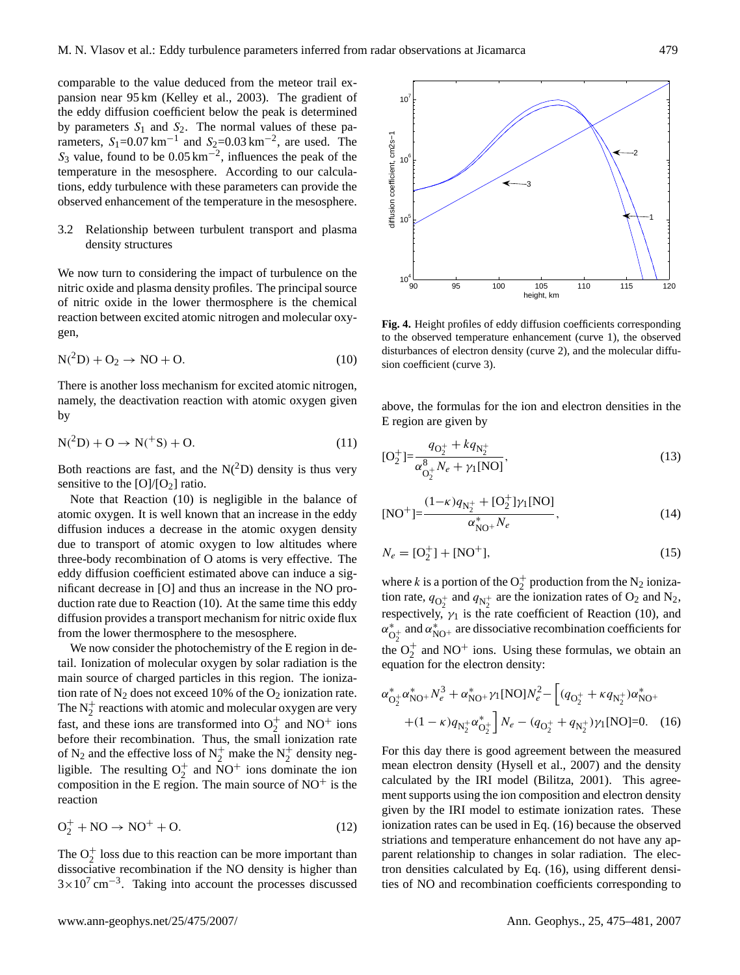comparable to the value deduced from the meteor trail expansion near 95 km (Kelley et al., 2003). The gradient of the eddy diffusion coefficient below the peak is determined by parameters  $S_1$  and  $S_2$ . The normal values of these parameters,  $S_1$ =0.07 km<sup>-1</sup> and  $S_2$ =0.03 km<sup>-2</sup>, are used. The  $S_3$  value, found to be  $0.05 \text{ km}^{-2}$ , influences the peak of the temperature in the mesosphere. According to our calculations, eddy turbulence with these parameters can provide the observed enhancement of the temperature in the mesosphere.

### 3.2 Relationship between turbulent transport and plasma density structures

We now turn to considering the impact of turbulence on the nitric oxide and plasma density profiles. The principal source of nitric oxide in the lower thermosphere is the chemical reaction between excited atomic nitrogen and molecular oxygen,

$$
N(^{2}D) + O_{2} \rightarrow NO + O. \qquad (10)
$$

There is another loss mechanism for excited atomic nitrogen, namely, the deactivation reaction with atomic oxygen given by

$$
N(^{2}D) + O \to N(^{+}S) + O.
$$
 (11)

Both reactions are fast, and the  $N(^2D)$  density is thus very sensitive to the  $[O]/[O_2]$  ratio.

Note that Reaction (10) is negligible in the balance of atomic oxygen. It is well known that an increase in the eddy diffusion induces a decrease in the atomic oxygen density due to transport of atomic oxygen to low altitudes where three-body recombination of O atoms is very effective. The eddy diffusion coefficient estimated above can induce a significant decrease in [O] and thus an increase in the NO production rate due to Reaction (10). At the same time this eddy diffusion provides a transport mechanism for nitric oxide flux from the lower thermosphere to the mesosphere.

We now consider the photochemistry of the E region in detail. Ionization of molecular oxygen by solar radiation is the main source of charged particles in this region. The ionization rate of  $N_2$  does not exceed 10% of the  $O_2$  ionization rate. The  $N_2^+$  reactions with atomic and molecular oxygen are very fast, and these ions are transformed into  $O_2^+$  and  $NO^+$  ions before their recombination. Thus, the small ionization rate of N<sub>2</sub> and the effective loss of N<sub>2</sub><sup>+</sup> make the N<sub>2</sub><sup>+</sup> density negligible. The resulting  $O_2^+$  and  $\text{NO}^+$  ions dominate the ion composition in the E region. The main source of  $NO<sup>+</sup>$  is the reaction

$$
O_2^+ + NO \rightarrow NO^+ + O. \tag{12}
$$

The  $O_2^+$  loss due to this reaction can be more important than dissociative recombination if the NO density is higher than  $3 \times 10^7$  cm<sup>-3</sup>. Taking into account the processes discussed



 $s$ ion coefficient (curve 3). **Fig. 4.** Height profiles of eddy diffusion coefficients corresponding to the observed temperature enhancement (curve 1), the observed disturbances of electron density (curve 2), and the molecular diffu-

above, the formulas for the ion and electron densities in the E region are given by

$$
[O_2^+] = \frac{q_{O_2^+} + k q_{N_2^+}}{\alpha_{O_2^+}^8 N_e + \gamma_1 [NO]},
$$
\n(13)

$$
[NO^+] = \frac{(1 - \kappa)q_{N_2^+} + [O_2^+] \gamma_1 [NO]}{\alpha_{NO^+}^* N_e},\tag{14}
$$

$$
N_e = [O_2^+] + [NO^+],\tag{15}
$$

where k is a portion of the  $O_2^+$  production from the  $N_2$  ionization rate,  $q_{\text{O}_2^+}$  and  $q_{\text{N}_2^+}$  are the ionization rates of  $\text{O}_2$  and  $\text{N}_2$ , respectively,  $\gamma_1$  is the rate coefficient of Reaction (10), and  $\alpha_c^*$  $\int_{O_7^+}^{\infty}$  and  $\alpha_{\text{NO}^+}^*$  are dissociative recombination coefficients for the  $O_2^+$  and NO<sup>+</sup> ions. Using these formulas, we obtain an equation for the electron density:

$$
\alpha_{\text{O}_2^+}^* \alpha_{\text{NO}^+}^* N_e^3 + \alpha_{\text{NO}^+}^* \gamma_1 [\text{NO}] N_e^2 - \left[ (q_{\text{O}_2^+} + \kappa q_{\text{N}_2^+}) \alpha_{\text{NO}^+}^* + (1 - \kappa) q_{\text{N}_2^+} \alpha_{\text{O}_2^+}^* \right] N_e - (q_{\text{O}_2^+} + q_{\text{N}_2^+}) \gamma_1 [\text{NO}] = 0. \tag{16}
$$

For this day there is good agreement between the measured mean electron density (Hysell et al., 2007) and the density calculated by the IRI model (Bilitza, 2001). This agreement supports using the ion composition and electron density given by the IRI model to estimate ionization rates. These ionization rates can be used in Eq. (16) because the observed striations and temperature enhancement do not have any apparent relationship to changes in solar radiation. The electron densities calculated by Eq. (16), using different densities of NO and recombination coefficients corresponding to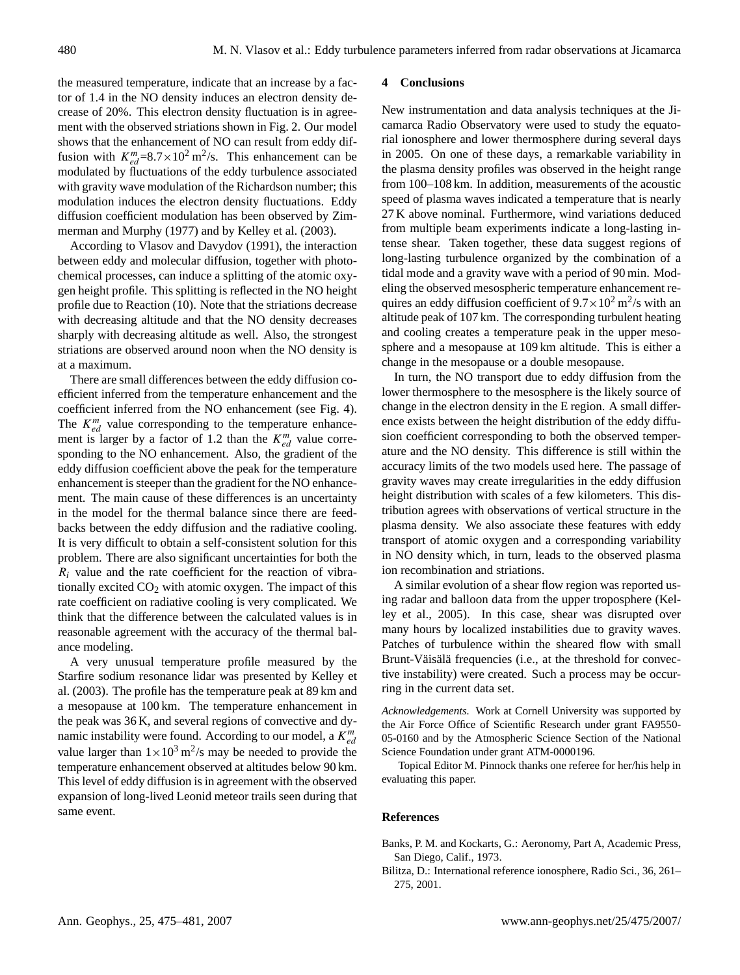the measured temperature, indicate that an increase by a factor of 1.4 in the NO density induces an electron density decrease of 20%. This electron density fluctuation is in agreement with the observed striations shown in Fig. 2. Our model shows that the enhancement of NO can result from eddy diffusion with  $K_{ed}^{m}=8.7\times10^{2} \text{ m}^{2}/\text{s}$ . This enhancement can be modulated by fluctuations of the eddy turbulence associated with gravity wave modulation of the Richardson number; this modulation induces the electron density fluctuations. Eddy diffusion coefficient modulation has been observed by Zimmerman and Murphy (1977) and by Kelley et al. (2003).

According to Vlasov and Davydov (1991), the interaction between eddy and molecular diffusion, together with photochemical processes, can induce a splitting of the atomic oxygen height profile. This splitting is reflected in the NO height profile due to Reaction (10). Note that the striations decrease with decreasing altitude and that the NO density decreases sharply with decreasing altitude as well. Also, the strongest striations are observed around noon when the NO density is at a maximum.

There are small differences between the eddy diffusion coefficient inferred from the temperature enhancement and the coefficient inferred from the NO enhancement (see Fig. 4). The  $K_{ed}^{m}$  value corresponding to the temperature enhancement is larger by a factor of 1.2 than the  $K_{ed}^{m}$  value corresponding to the NO enhancement. Also, the gradient of the eddy diffusion coefficient above the peak for the temperature enhancement is steeper than the gradient for the NO enhancement. The main cause of these differences is an uncertainty in the model for the thermal balance since there are feedbacks between the eddy diffusion and the radiative cooling. It is very difficult to obtain a self-consistent solution for this problem. There are also significant uncertainties for both the  $R_i$  value and the rate coefficient for the reaction of vibrationally excited  $CO<sub>2</sub>$  with atomic oxygen. The impact of this rate coefficient on radiative cooling is very complicated. We think that the difference between the calculated values is in reasonable agreement with the accuracy of the thermal balance modeling.

A very unusual temperature profile measured by the Starfire sodium resonance lidar was presented by Kelley et al. (2003). The profile has the temperature peak at 89 km and a mesopause at 100 km. The temperature enhancement in the peak was 36 K, and several regions of convective and dynamic instability were found. According to our model, a  $K_{ed}^m$ value larger than  $1 \times 10^3$  m<sup>2</sup>/s may be needed to provide the temperature enhancement observed at altitudes below 90 km. This level of eddy diffusion is in agreement with the observed expansion of long-lived Leonid meteor trails seen during that same event.

#### **4 Conclusions**

New instrumentation and data analysis techniques at the Jicamarca Radio Observatory were used to study the equatorial ionosphere and lower thermosphere during several days in 2005. On one of these days, a remarkable variability in the plasma density profiles was observed in the height range from 100–108 km. In addition, measurements of the acoustic speed of plasma waves indicated a temperature that is nearly 27 K above nominal. Furthermore, wind variations deduced from multiple beam experiments indicate a long-lasting intense shear. Taken together, these data suggest regions of long-lasting turbulence organized by the combination of a tidal mode and a gravity wave with a period of 90 min. Modeling the observed mesospheric temperature enhancement requires an eddy diffusion coefficient of  $9.7 \times 10^2$  m<sup>2</sup>/s with an altitude peak of 107 km. The corresponding turbulent heating and cooling creates a temperature peak in the upper mesosphere and a mesopause at 109 km altitude. This is either a change in the mesopause or a double mesopause.

In turn, the NO transport due to eddy diffusion from the lower thermosphere to the mesosphere is the likely source of change in the electron density in the E region. A small difference exists between the height distribution of the eddy diffusion coefficient corresponding to both the observed temperature and the NO density. This difference is still within the accuracy limits of the two models used here. The passage of gravity waves may create irregularities in the eddy diffusion height distribution with scales of a few kilometers. This distribution agrees with observations of vertical structure in the plasma density. We also associate these features with eddy transport of atomic oxygen and a corresponding variability in NO density which, in turn, leads to the observed plasma ion recombination and striations.

A similar evolution of a shear flow region was reported using radar and balloon data from the upper troposphere (Kelley et al., 2005). In this case, shear was disrupted over many hours by localized instabilities due to gravity waves. Patches of turbulence within the sheared flow with small Brunt-Väisälä frequencies (i.e., at the threshold for convective instability) were created. Such a process may be occurring in the current data set.

*Acknowledgements.* Work at Cornell University was supported by the Air Force Office of Scientific Research under grant FA9550- 05-0160 and by the Atmospheric Science Section of the National Science Foundation under grant ATM-0000196.

Topical Editor M. Pinnock thanks one referee for her/his help in evaluating this paper.

#### **References**

- Banks, P. M. and Kockarts, G.: Aeronomy, Part A, Academic Press, San Diego, Calif., 1973.
- Bilitza, D.: International reference ionosphere, Radio Sci., 36, 261– 275, 2001.